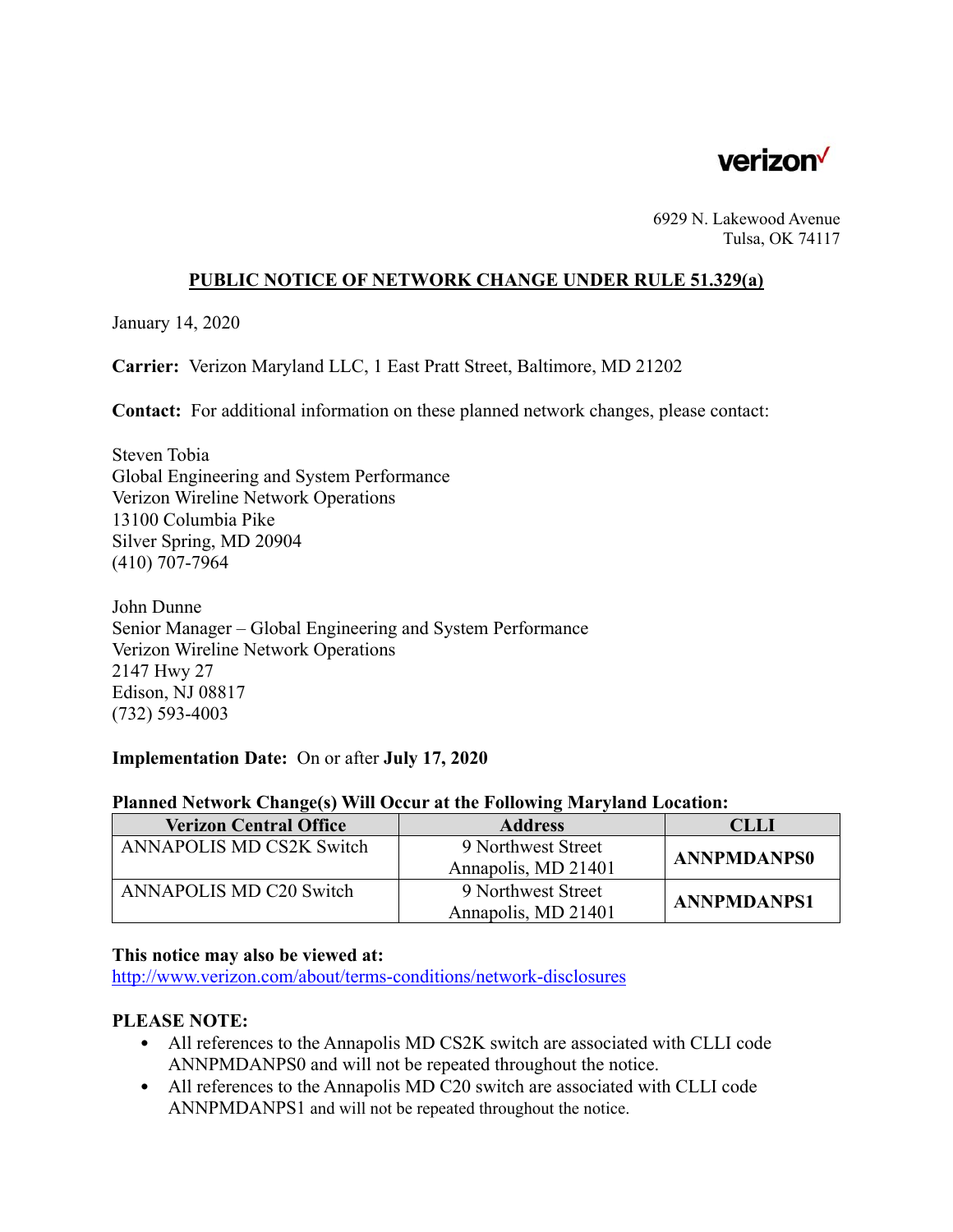

6929 N. Lakewood Avenue Tulsa, OK 74117

### **PUBLIC NOTICE OF NETWORK CHANGE UNDER RULE 51.329(a)**

January 14, 2020

**Carrier:** Verizon Maryland LLC, 1 East Pratt Street, Baltimore, MD 21202

**Contact:** For additional information on these planned network changes, please contact:

Steven Tobia Global Engineering and System Performance Verizon Wireline Network Operations 13100 Columbia Pike Silver Spring, MD 20904 (410) 707-7964

John Dunne Senior Manager – Global Engineering and System Performance Verizon Wireline Network Operations 2147 Hwy 27 Edison, NJ 08817 (732) 593-4003

#### **Implementation Date:** On or after **July 17, 2020**

#### **Planned Network Change(s) Will Occur at the Following Maryland Location:**

| <b>Verizon Central Office</b> | <b>Address</b>      | CLLI               |
|-------------------------------|---------------------|--------------------|
| ANNAPOLIS MD CS2K Switch      | 9 Northwest Street  | <b>ANNPMDANPS0</b> |
|                               | Annapolis, MD 21401 |                    |
| ANNAPOLIS MD C20 Switch       | 9 Northwest Street  | <b>ANNPMDANPS1</b> |
|                               | Annapolis, MD 21401 |                    |

#### **This notice may also be viewed at:**

http://www.verizon.com/about/terms-conditions/network-disclosures

# **PLEASE NOTE:**

- All references to the Annapolis MD CS2K switch are associated with CLLI code ANNPMDANPS0 and will not be repeated throughout the notice.
- All references to the Annapolis MD C20 switch are associated with CLLI code ANNPMDANPS1 and will not be repeated throughout the notice.